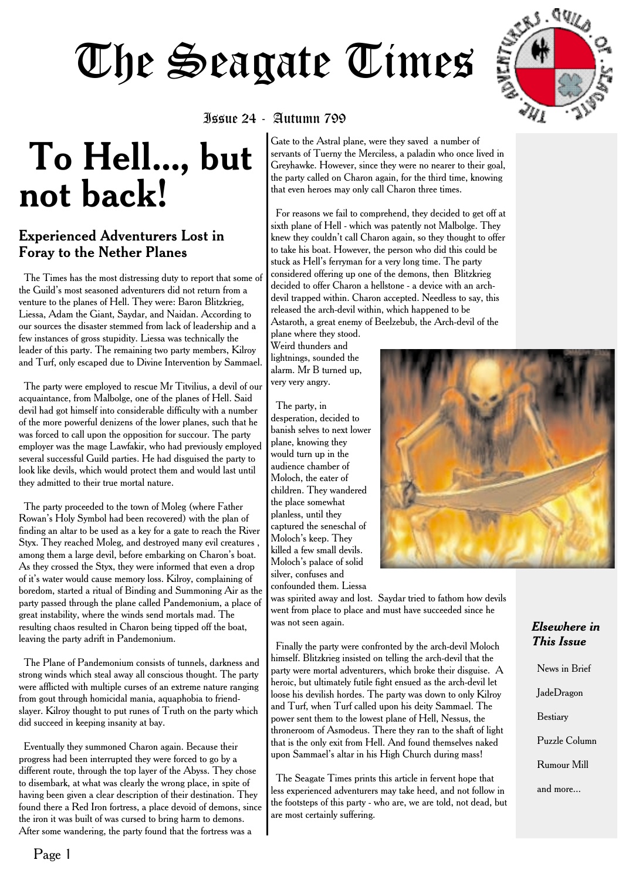

#### Issue 24 - Autumn 799

## **To Hell..., but not back!**

#### Experienced Adventurers Lost in Foray to the Nether Planes

The Times has the most distressing duty to report that some of the Guild's most seasoned adventurers did not return from a venture to the planes of Hell. They were: Baron Blitzkrieg, Liessa, Adam the Giant, Saydar, and Naidan. According to our sources the disaster stemmed from lack of leadership and a few instances of gross stupidity. Liessa was technically the leader of this party. The remaining two party members, Kilroy and Turf, only escaped due to Divine Intervention by Sammael.

The party were employed to rescue Mr Titvilius, a devil of our acquaintance, from Malbolge, one of the planes of Hell. Said devil had got himself into considerable difficulty with a number of the more powerful denizens of the lower planes, such that he was forced to call upon the opposition for succour. The party employer was the mage Lawfakir, who had previously employed several successful Guild parties. He had disguised the party to look like devils, which would protect them and would last until they admitted to their true mortal nature.

The party proceeded to the town of Moleg (where Father Rowan's Holy Symbol had been recovered) with the plan of finding an altar to be used as a key for a gate to reach the River Styx. They reached Moleg, and destroyed many evil creatures , among them a large devil, before embarking on Charon's boat. As they crossed the Styx, they were informed that even a drop of it's water would cause memory loss. Kilroy, complaining of boredom, started a ritual of Binding and Summoning Air as the party passed through the plane called Pandemonium, a place of great instability, where the winds send mortals mad. The resulting chaos resulted in Charon being tipped off the boat, leaving the party adrift in Pandemonium.

The Plane of Pandemonium consists of tunnels, darkness and strong winds which steal away all conscious thought. The party were afflicted with multiple curses of an extreme nature ranging from gout through homicidal mania, aquaphobia to friendslayer. Kilroy thought to put runes of Truth on the party which did succeed in keeping insanity at bay.

Eventually they summoned Charon again. Because their progress had been interrupted they were forced to go by a different route, through the top layer of the Abyss. They chose to disembark, at what was clearly the wrong place, in spite of having been given a clear description of their destination. They found there a Red Iron fortress, a place devoid of demons, since the iron it was built of was cursed to bring harm to demons. After some wandering, the party found that the fortress was a

Gate to the Astral plane, were they saved a number of servants of Tuerny the Merciless, a paladin who once lived in Greyhawke. However, since they were no nearer to their goal, the party called on Charon again, for the third time, knowing that even heroes may only call Charon three times.

For reasons we fail to comprehend, they decided to get off at sixth plane of Hell - which was patently not Malbolge. They knew they couldn't call Charon again, so they thought to offer to take his boat. However, the person who did this could be stuck as Hell's ferryman for a very long time. The party considered offering up one of the demons, then Blitzkrieg decided to offer Charon a hellstone - a device with an archdevil trapped within. Charon accepted. Needless to say, this released the arch-devil within, which happened to be Astaroth, a great enemy of Beelzebub, the Arch-devil of the

plane where they stood. Weird thunders and lightnings, sounded the alarm. Mr B turned up, very very angry.

The party, in desperation, decided to banish selves to next lower plane, knowing they would turn up in the audience chamber of Moloch, the eater of children. They wandered the place somewhat planless, until they captured the seneschal of Moloch's keep. They killed a few small devils. Moloch's palace of solid silver, confuses and confounded them. Liessa

was spirited away and lost. Saydar tried to fathom how devils went from place to place and must have succeeded since he was not seen again.

Finally the party were confronted by the arch-devil Moloch himself. Blitzkrieg insisted on telling the arch-devil that the party were mortal adventurers, which broke their disguise. A heroic, but ultimately futile fight ensued as the arch-devil let loose his devilish hordes. The party was down to only Kilroy and Turf, when Turf called upon his deity Sammael. The power sent them to the lowest plane of Hell, Nessus, the throneroom of Asmodeus. There they ran to the shaft of light that is the only exit from Hell. And found themselves naked upon Sammael's altar in his High Church during mass!

The Seagate Times prints this article in fervent hope that less experienced adventurers may take heed, and not follow in the footsteps of this party - who are, we are told, not dead, but are most certainly suffering.

#### *Elsewhere in This Issue*

News in Brief JadeDragon Bestiary Puzzle Column Rumour Mill and more...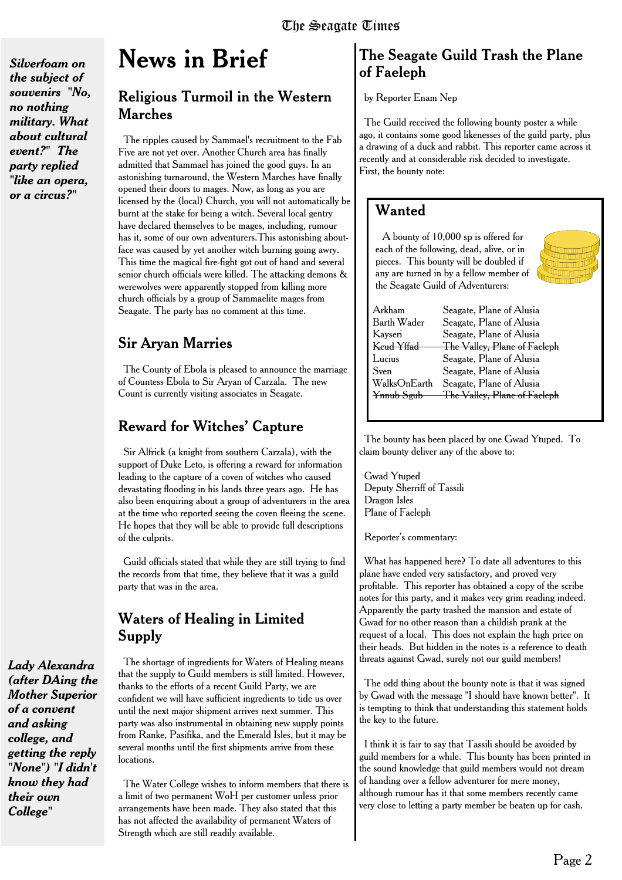*Silverfoam on the subject of souvenirs "No, no nothing military. What about cultural event?" The party replied "like an opera, or a circus?"*

## **News in Brief**

#### Religious Turmoil in the Western Marches

The ripples caused by Sammael's recruitment to the Fab Five are not yet over. Another Church area has finally admitted that Sammael has joined the good guys. In an astonishing turnaround, the Western Marches have finally opened their doors to mages. Now, as long as you are licensed by the (local) Church, you will not automatically be burnt at the stake for being a witch. Several local gentry have declared themselves to be mages, including, rumour has it, some of our own adventurers.This astonishing aboutface was caused by yet another witch burning going awry. This time the magical fire-fight got out of hand and several senior church officials were killed. The attacking demons & werewolves were apparently stopped from killing more church officials by a group of Sammaelite mages from Seagate. The party has no comment at this time.

#### Sir Aryan Marries

The County of Ebola is pleased to announce the marriage of Countess Ebola to Sir Aryan of Carzala. The new Count is currently visiting associates in Seagate.

#### Reward for Witches' Capture

Sir Alfrick (a knight from southern Carzala), with the support of Duke Leto, is offering a reward for information leading to the capture of a coven of witches who caused devastating flooding in his lands three years ago. He has also been enquiring about a group of adventurers in the area at the time who reported seeing the coven fleeing the scene. He hopes that they will be able to provide full descriptions of the culprits.

Guild officials stated that while they are still trying to find the records from that time, they believe that it was a guild party that was in the area.

#### **Waters of Healing in Limited Supply**

The shortage of ingredients for Waters of Healing means that the supply to Guild members is still limited. However, thanks to the efforts of a recent Guild Party, we are confident we will have sufficient ingredients to tide us over until the next major shipment arrives next summer. This party was also instrumental in obtaining new supply points from Ranke, Pasifika, and the Emerald Isles, but it may be several months until the first shipments arrive from these locations.

The Water College wishes to inform members that there is a limit of two permanent WoH per customer unless prior arrangements have been made. They also stated that this has not affected the availability of permanent Waters of Strength which are still readily available.

#### The Seagate Guild Trash the Plane of Faeleph

by Reporter Enam Nep

The Guild received the following bounty poster a while ago, it contains some good likenesses of the guild party, plus a drawing of a duck and rabbit. This reporter came across it recently and at considerable risk decided to investigate. First, the bounty note:

#### Wanted

A bounty of 10,000 sp is offered for each of the following, dead, alive, or in pieces. This bounty will be doubled if any are turned in by a fellow member of the Seagate Guild of Adventurers:



| Arkham                | Seagate, Plane of Alusia            |
|-----------------------|-------------------------------------|
| Barth Wader           | Seagate, Plane of Alusia            |
| Kayseri               | Seagate, Plane of Alusia            |
| <del>Keud Yffad</del> | <u>The Valley, Plane of Faeleph</u> |
| Lucius                | Seagate, Plane of Alusia            |
| Sven                  | Seagate, Plane of Alusia            |
| WalksOnEarth          | Seagate, Plane of Alusia            |
| <del>Ynnub Sgub</del> | The Valley, Plane of Faeleph        |
|                       |                                     |

The bounty has been placed by one Gwad Ytuped. To claim bounty deliver any of the above to:

Gwad Ytuped Deputy Sherriff of Tassili Dragon Isles Plane of Faeleph

Reporter's commentary:

What has happened here? To date all adventures to this plane have ended very satisfactory, and proved very profitable. This reporter has obtained a copy of the scribe notes for this party, and it makes very grim reading indeed. Apparently the party trashed the mansion and estate of Gwad for no other reason than a childish prank at the request of a local. This does not explain the high price on their heads. But hidden in the notes is a reference to death threats against Gwad, surely not our guild members!

The odd thing about the bounty note is that it was signed by Gwad with the message "I should have known better". It is tempting to think that understanding this statement holds the key to the future.

I think it is fair to say that Tassili should be avoided by guild members for a while. This bounty has been printed in the sound knowledge that guild members would not dream of handing over a fellow adventurer for mere money, although rumour has it that some members recently came very close to letting a party member be beaten up for cash.

*Lady Alexandra (after DAing the Mother Superior of a convent and asking college, and getting the reply "None") "I didn't know they had their own College"*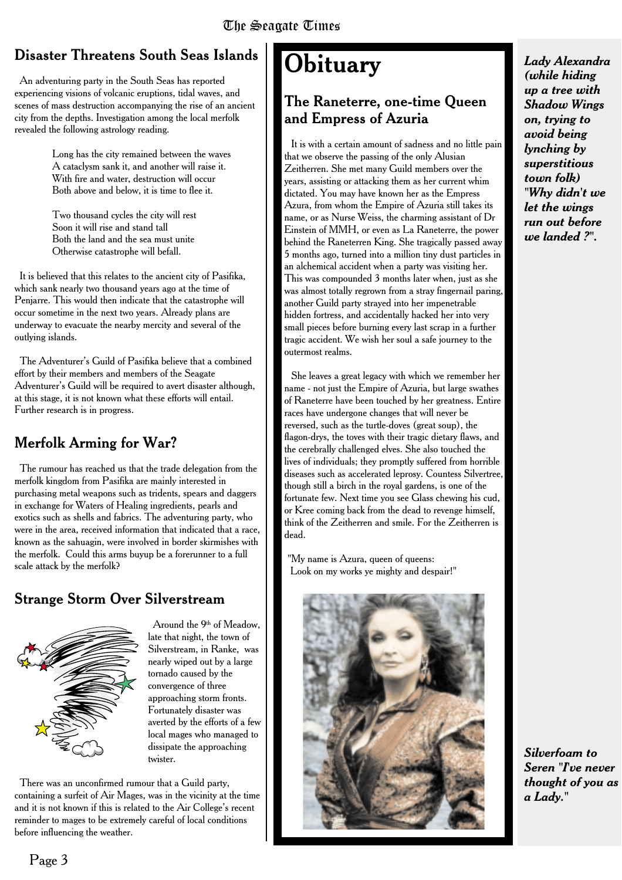#### Disaster Threatens South Seas Islands

An adventuring party in the South Seas has reported experiencing visions of volcanic eruptions, tidal waves, and scenes of mass destruction accompanying the rise of an ancient city from the depths. Investigation among the local merfolk revealed the following astrology reading.

> Long has the city remained between the waves A cataclysm sank it, and another will raise it. With fire and water, destruction will occur Both above and below, it is time to flee it.

Two thousand cycles the city will rest Soon it will rise and stand tall Both the land and the sea must unite Otherwise catastrophe will befall.

It is believed that this relates to the ancient city of Pasifika, which sank nearly two thousand years ago at the time of Penjarre. This would then indicate that the catastrophe will occur sometime in the next two years. Already plans are underway to evacuate the nearby mercity and several of the outlying islands.

The Adventurer's Guild of Pasifika believe that a combined effort by their members and members of the Seagate Adventurer's Guild will be required to avert disaster although, at this stage, it is not known what these efforts will entail. Further research is in progress.

#### **Merfolk Arming for War?**

The rumour has reached us that the trade delegation from the merfolk kingdom from Pasifika are mainly interested in purchasing metal weapons such as tridents, spears and daggers in exchange for Waters of Healing ingredients, pearls and exotics such as shells and fabrics. The adventuring party, who were in the area, received information that indicated that a race, known as the sahuagin, were involved in border skirmishes with the merfolk. Could this arms buyup be a forerunner to a full scale attack by the merfolk?

#### **Strange Storm Over Silverstream**



Around the 9th of Meadow, late that night, the town of Silverstream, in Ranke, was nearly wiped out by a large tornado caused by the convergence of three approaching storm fronts. Fortunately disaster was averted by the efforts of a few local mages who managed to dissipate the approaching twister.

There was an unconfirmed rumour that a Guild party, containing a surfeit of Air Mages, was in the vicinity at the time and it is not known if this is related to the Air College's recent reminder to mages to be extremely careful of local conditions before influencing the weather.

#### The Raneterre, one-time Queen and Empress of Azuria

It is with a certain amount of sadness and no little pain that we observe the passing of the only Alusian Zeitherren. She met many Guild members over the years, assisting or attacking them as her current whim dictated. You may have known her as the Empress Azura, from whom the Empire of Azuria still takes its name, or as Nurse Weiss, the charming assistant of Dr Einstein of MMH, or even as La Raneterre, the power behind the Raneterren King. She tragically passed away 5 months ago, turned into a million tiny dust particles in an alchemical accident when a party was visiting her. This was compounded 3 months later when, just as she was almost totally regrown from a stray fingernail paring, another Guild party strayed into her impenetrable hidden fortress, and accidentally hacked her into very small pieces before burning every last scrap in a further tragic accident. We wish her soul a safe journey to the outermost realms.

She leaves a great legacy with which we remember her name - not just the Empire of Azuria, but large swathes of Raneterre have been touched by her greatness. Entire races have undergone changes that will never be reversed, such as the turtle-doves (great soup), the flagon-drys, the toves with their tragic dietary flaws, and the cerebrally challenged elves. She also touched the lives of individuals; they promptly suffered from horrible diseases such as accelerated leprosy. Countess Silvertree, though still a birch in the royal gardens, is one of the fortunate few. Next time you see Glass chewing his cud, or Kree coming back from the dead to revenge himself, think of the Zeitherren and smile. For the Zeitherren is dead.

"My name is Azura, queen of queens: Look on my works ye mighty and despair!"



*Lady Alexandra (while hiding up a tree with Shadow Wings on, trying to avoid being lynching by superstitious town folk) "Why didn't we let the wings run out before we landed ?".*

*Silverfoam to Seren "I've never thought of you as a Lady."*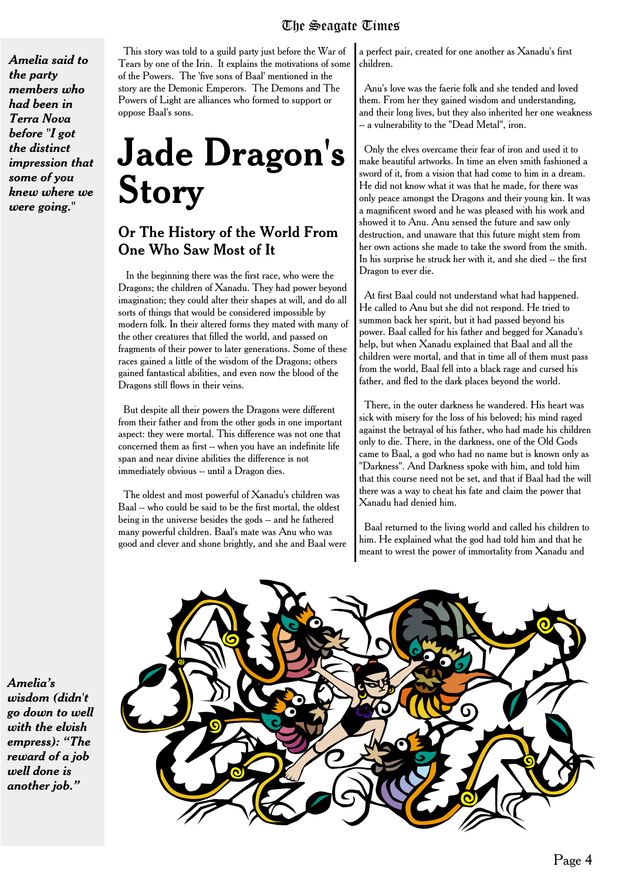*Amelia said to the party members who had been in Terra Nova before "I got the distinct impression that some of you knew where we were going."*

This story was told to a guild party just before the War of Tears by one of the Irin. It explains the motivations of some of the Powers. The 'five sons of Baal' mentioned in the story are the Demonic Emperors. The Demons and The Powers of Light are alliances who formed to support or oppose Baal's sons.

## **Jade Dragon's Story**

#### Or The History of the World From One Who Saw Most of It

In the beginning there was the first race, who were the Dragons; the children of Xanadu. They had power beyond imagination; they could alter their shapes at will, and do all sorts of things that would be considered impossible by modern folk. In their altered forms they mated with many of the other creatures that filled the world, and passed on fragments of their power to later generations. Some of these races gained a little of the wisdom of the Dragons; others gained fantastical abilities, and even now the blood of the Dragons still flows in their veins.

But despite all their powers the Dragons were different from their father and from the other gods in one important aspect: they were mortal. This difference was not one that concerned them as first -- when you have an indefinite life span and near divine abilities the difference is not immediately obvious -- until a Dragon dies.

The oldest and most powerful of Xanadu's children was Baal -- who could be said to be the first mortal, the oldest being in the universe besides the gods -- and he fathered many powerful children. Baal's mate was Anu who was good and clever and shone brightly, and she and Baal were

a perfect pair, created for one another as Xanadu's first children.

Anu's love was the faerie folk and she tended and loved them. From her they gained wisdom and understanding, and their long lives, but they also inherited her one weakness -- a vulnerability to the "Dead Metal", iron.

Only the elves overcame their fear of iron and used it to make beautiful artworks. In time an elven smith fashioned a sword of it, from a vision that had come to him in a dream. He did not know what it was that he made, for there was only peace amongst the Dragons and their young kin. It was a magnificent sword and he was pleased with his work and showed it to Anu. Anu sensed the future and saw only destruction, and unaware that this future might stem from her own actions she made to take the sword from the smith. In his surprise he struck her with it, and she died -- the first Dragon to ever die.

At first Baal could not understand what had happened. He called to Anu but she did not respond. He tried to summon back her spirit, but it had passed beyond his power. Baal called for his father and begged for Xanadu's help, but when Xanadu explained that Baal and all the children were mortal, and that in time all of them must pass from the world, Baal fell into a black rage and cursed his father, and fled to the dark places beyond the world.

There, in the outer darkness he wandered. His heart was sick with misery for the loss of his beloved; his mind raged against the betrayal of his father, who had made his children only to die. There, in the darkness, one of the Old Gods came to Baal, a god who had no name but is known only as "Darkness". And Darkness spoke with him, and told him that this course need not be set, and that if Baal had the will there was a way to cheat his fate and claim the power that Xanadu had denied him.

Baal returned to the living world and called his children to him. He explained what the god had told him and that he meant to wrest the power of immortality from Xanadu and



*Amelia's wisdom (didn't go down to well with the elvish empress): "The reward of a job well done is another job."*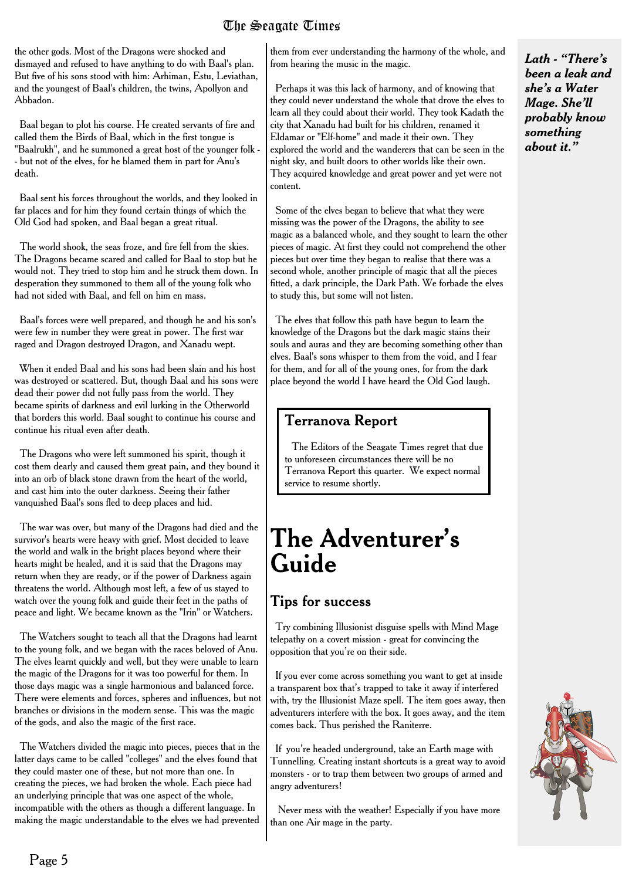the other gods. Most of the Dragons were shocked and dismayed and refused to have anything to do with Baal's plan. But five of his sons stood with him: Arhiman, Estu, Leviathan, and the youngest of Baal's children, the twins, Apollyon and Abbadon.

Baal began to plot his course. He created servants of fire and called them the Birds of Baal, which in the first tongue is "Baalrukh", and he summoned a great host of the younger folk - but not of the elves, for he blamed them in part for Anu's death.

Baal sent his forces throughout the worlds, and they looked in far places and for him they found certain things of which the Old God had spoken, and Baal began a great ritual.

The world shook, the seas froze, and fire fell from the skies. The Dragons became scared and called for Baal to stop but he would not. They tried to stop him and he struck them down. In desperation they summoned to them all of the young folk who had not sided with Baal, and fell on him en mass.

Baal's forces were well prepared, and though he and his son's were few in number they were great in power. The first war raged and Dragon destroyed Dragon, and Xanadu wept.

When it ended Baal and his sons had been slain and his host was destroyed or scattered. But, though Baal and his sons were dead their power did not fully pass from the world. They became spirits of darkness and evil lurking in the Otherworld that borders this world. Baal sought to continue his course and continue his ritual even after death.

The Dragons who were left summoned his spirit, though it cost them dearly and caused them great pain, and they bound it into an orb of black stone drawn from the heart of the world, and cast him into the outer darkness. Seeing their father vanquished Baal's sons fled to deep places and hid.

The war was over, but many of the Dragons had died and the survivor's hearts were heavy with grief. Most decided to leave the world and walk in the bright places beyond where their hearts might be healed, and it is said that the Dragons may return when they are ready, or if the power of Darkness again threatens the world. Although most left, a few of us stayed to watch over the young folk and guide their feet in the paths of peace and light. We became known as the "Irin" or Watchers.

The Watchers sought to teach all that the Dragons had learnt to the young folk, and we began with the races beloved of Anu. The elves learnt quickly and well, but they were unable to learn the magic of the Dragons for it was too powerful for them. In those days magic was a single harmonious and balanced force. There were elements and forces, spheres and influences, but not branches or divisions in the modern sense. This was the magic of the gods, and also the magic of the first race.

The Watchers divided the magic into pieces, pieces that in the latter days came to be called "colleges" and the elves found that they could master one of these, but not more than one. In creating the pieces, we had broken the whole. Each piece had an underlying principle that was one aspect of the whole, incompatible with the others as though a different language. In making the magic understandable to the elves we had prevented

them from ever understanding the harmony of the whole, and from hearing the music in the magic.

Perhaps it was this lack of harmony, and of knowing that they could never understand the whole that drove the elves to learn all they could about their world. They took Kadath the city that Xanadu had built for his children, renamed it Eldamar or "Elf-home" and made it their own. They explored the world and the wanderers that can be seen in the night sky, and built doors to other worlds like their own. They acquired knowledge and great power and yet were not content.

Some of the elves began to believe that what they were missing was the power of the Dragons, the ability to see magic as a balanced whole, and they sought to learn the other pieces of magic. At first they could not comprehend the other pieces but over time they began to realise that there was a second whole, another principle of magic that all the pieces fitted, a dark principle, the Dark Path. We forbade the elves to study this, but some will not listen.

The elves that follow this path have begun to learn the knowledge of the Dragons but the dark magic stains their souls and auras and they are becoming something other than elves. Baal's sons whisper to them from the void, and I fear for them, and for all of the young ones, for from the dark place beyond the world I have heard the Old God laugh.

#### Terranova Report

The Editors of the Seagate Times regret that due to unforeseen circumstances there will be no Terranova Report this quarter. We expect normal service to resume shortly.

### **The Adventurer's Guide**

#### Tips for success

Try combining Illusionist disguise spells with Mind Mage telepathy on a covert mission - great for convincing the opposition that you're on their side.

If you ever come across something you want to get at inside a transparent box that's trapped to take it away if interfered with, try the Illusionist Maze spell. The item goes away, then adventurers interfere with the box. It goes away, and the item comes back. Thus perished the Raniterre.

If you're headed underground, take an Earth mage with Tunnelling. Creating instant shortcuts is a great way to avoid monsters - or to trap them between two groups of armed and angry adventurers!

Never mess with the weather! Especially if you have more than one Air mage in the party.

*Lath - "There's been a leak and she's a Water Mage. She'll probably know something about it."*

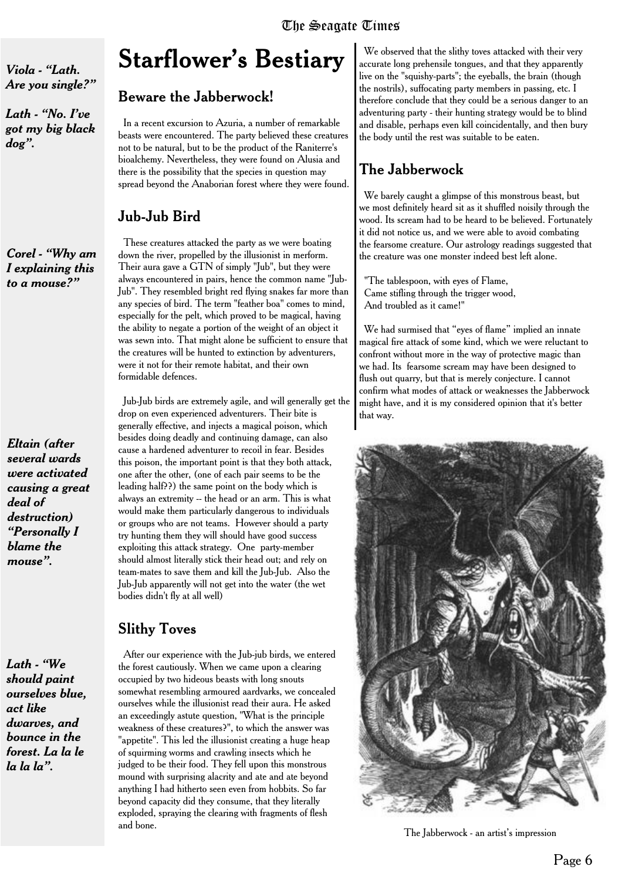*Viola - "Lath. Are you single?"*

*Lath - "No. I've got my big black dog".*

*Corel - "Why am I explaining this to a mouse?"*

*Eltain (after several wards were activated causing a great deal of destruction) "Personally I blame the mouse".*

*Lath - "We should paint ourselves blue, act like dwarves, and bounce in the forest. La la le la la la".*

## **Starflower's Bestiary**

Beware the Jabberwock!

In a recent excursion to Azuria, a number of remarkable beasts were encountered. The party believed these creatures not to be natural, but to be the product of the Raniterre's bioalchemy. Nevertheless, they were found on Alusia and there is the possibility that the species in question may spread beyond the Anaborian forest where they were found.

#### Jub-Jub Bird

These creatures attacked the party as we were boating down the river, propelled by the illusionist in merform. Their aura gave a GTN of simply "Jub", but they were always encountered in pairs, hence the common name "Jub-Jub". They resembled bright red flying snakes far more than any species of bird. The term "feather boa" comes to mind, especially for the pelt, which proved to be magical, having the ability to negate a portion of the weight of an object it was sewn into. That might alone be sufficient to ensure that the creatures will be hunted to extinction by adventurers, were it not for their remote habitat, and their own formidable defences.

Jub-Jub birds are extremely agile, and will generally get the drop on even experienced adventurers. Their bite is generally effective, and injects a magical poison, which besides doing deadly and continuing damage, can also cause a hardened adventurer to recoil in fear. Besides this poison, the important point is that they both attack, one after the other, (one of each pair seems to be the leading half??) the same point on the body which is always an extremity -- the head or an arm. This is what would make them particularly dangerous to individuals or groups who are not teams. However should a party try hunting them they will should have good success exploiting this attack strategy. One party-member should almost literally stick their head out; and rely on team-mates to save them and kill the Jub-Jub. Also the Jub-Jub apparently will not get into the water (the wet bodies didn't fly at all well)

#### Slithy Toves

After our experience with the Jub-jub birds, we entered the forest cautiously. When we came upon a clearing occupied by two hideous beasts with long snouts somewhat resembling armoured aardvarks, we concealed ourselves while the illusionist read their aura. He asked an exceedingly astute question, "What is the principle weakness of these creatures?", to which the answer was "appetite". This led the illusionist creating a huge heap of squirming worms and crawling insects which he judged to be their food. They fell upon this monstrous mound with surprising alacrity and ate and ate beyond anything I had hitherto seen even from hobbits. So far beyond capacity did they consume, that they literally exploded, spraying the clearing with fragments of flesh and bone.

We observed that the slithy toves attacked with their very accurate long prehensile tongues, and that they apparently live on the "squishy-parts"; the eyeballs, the brain (though the nostrils), suffocating party members in passing, etc. I therefore conclude that they could be a serious danger to an adventuring party - their hunting strategy would be to blind and disable, perhaps even kill coincidentally, and then bury the body until the rest was suitable to be eaten.

#### The Jabberwock

We barely caught a glimpse of this monstrous beast, but we most definitely heard sit as it shuffled noisily through the wood. Its scream had to be heard to be believed. Fortunately it did not notice us, and we were able to avoid combating the fearsome creature. Our astrology readings suggested that the creature was one monster indeed best left alone.

"The tablespoon, with eyes of Flame, Came stifling through the trigger wood, And troubled as it came!"

We had surmised that "eyes of flame" implied an innate magical fire attack of some kind, which we were reluctant to confront without more in the way of protective magic than we had. Its fearsome scream may have been designed to flush out quarry, but that is merely conjecture. I cannot confirm what modes of attack or weaknesses the Jabberwock might have, and it is my considered opinion that it's better that way.



The Jabberwock - an artist's impression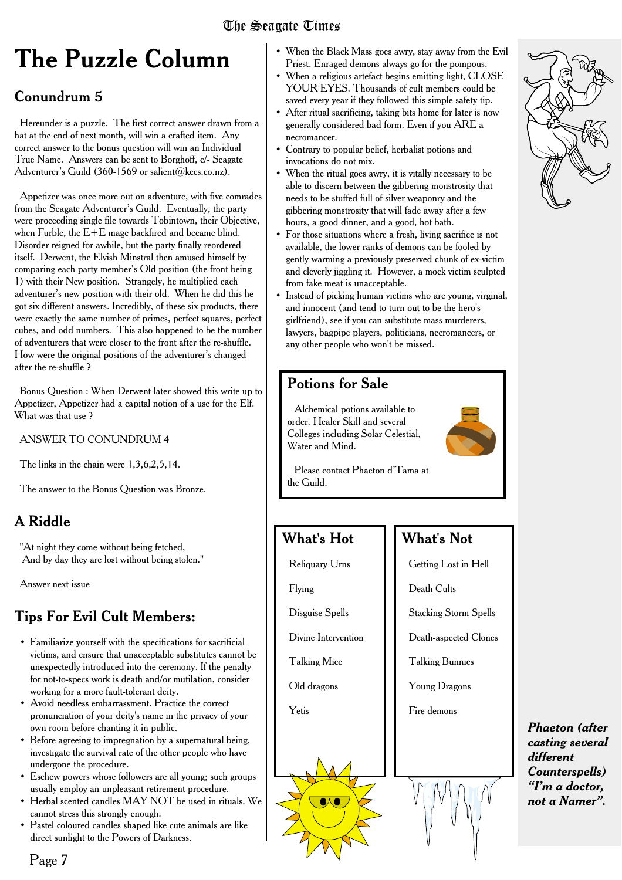## **The Puzzle Column**

#### Conundrum 5

Hereunder is a puzzle. The first correct answer drawn from a hat at the end of next month, will win a crafted item. Any correct answer to the bonus question will win an Individual True Name. Answers can be sent to Borghoff, c/- Seagate Adventurer's Guild (360-1569 or salient@kccs.co.nz).

Appetizer was once more out on adventure, with five comrades from the Seagate Adventurer's Guild. Eventually, the party were proceeding single file towards Tobintown, their Objective, when Furble, the E+E mage backfired and became blind. Disorder reigned for awhile, but the party finally reordered itself. Derwent, the Elvish Minstral then amused himself by comparing each party member's Old position (the front being 1) with their New position. Strangely, he multiplied each adventurer's new position with their old. When he did this he got six different answers. Incredibly, of these six products, there were exactly the same number of primes, perfect squares, perfect cubes, and odd numbers. This also happened to be the number of adventurers that were closer to the front after the re-shuffle. How were the original positions of the adventurer's changed after the re-shuffle ?

Bonus Question : When Derwent later showed this write up to Appetizer, Appetizer had a capital notion of a use for the Elf. What was that use ?

#### ANSWER TO CONUNDRUM 4

The links in the chain were 1,3,6,2,5,14.

The answer to the Bonus Question was Bronze.

#### A Riddle

"At night they come without being fetched, And by day they are lost without being stolen."

Answer next issue

#### Tips For Evil Cult Members:

- Familiarize yourself with the specifications for sacrificial victims, and ensure that unacceptable substitutes cannot be unexpectedly introduced into the ceremony. If the penalty for not-to-specs work is death and/or mutilation, consider working for a more fault-tolerant deity.
- Avoid needless embarrassment. Practice the correct pronunciation of your deity's name in the privacy of your own room before chanting it in public.
- Before agreeing to impregnation by a supernatural being, investigate the survival rate of the other people who have undergone the procedure.
- Eschew powers whose followers are all young; such groups usually employ an unpleasant retirement procedure.
- Herbal scented candles MAY NOT be used in rituals. We cannot stress this strongly enough.
- Pastel coloured candles shaped like cute animals are like direct sunlight to the Powers of Darkness.
- When the Black Mass goes awry, stay away from the Evil Priest. Enraged demons always go for the pompous.
- When a religious artefact begins emitting light, CLOSE YOUR EYES. Thousands of cult members could be saved every year if they followed this simple safety tip.
- After ritual sacrificing, taking bits home for later is now generally considered bad form. Even if you ARE a necromancer.
- Contrary to popular belief, herbalist potions and invocations do not mix.
- When the ritual goes awry, it is vitally necessary to be able to discern between the gibbering monstrosity that needs to be stuffed full of silver weaponry and the gibbering monstrosity that will fade away after a few hours, a good dinner, and a good, hot bath.
- For those situations where a fresh, living sacrifice is not available, the lower ranks of demons can be fooled by gently warming a previously preserved chunk of ex-victim and cleverly jiggling it. However, a mock victim sculpted from fake meat is unacceptable.
- Instead of picking human victims who are young, virginal, and innocent (and tend to turn out to be the hero's girlfriend), see if you can substitute mass murderers, lawyers, bagpipe players, politicians, necromancers, or any other people who won't be missed.

#### Potions for Sale

Alchemical potions available to order. Healer Skill and several Colleges including Solar Celestial, Water and Mind.



Please contact Phaeton d'Tama at the Guild.

#### What's Hot

Reliquary Urns

Flying

Disguise Spells

Divine Intervention

Talking Mice

Old dragons

Yetis

#### What's Not

Getting Lost in Hell

Death Cults

Stacking Storm Spells

Death-aspected Clones

Talking Bunnies

Young Dragons

Fire demons